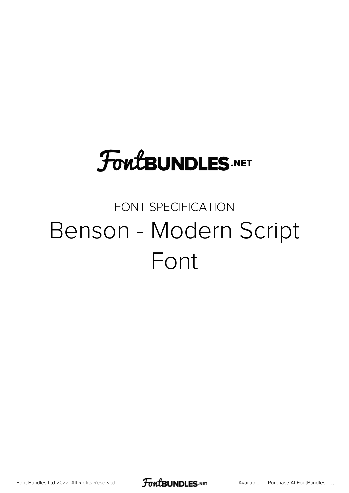# **FoutBUNDLES.NET**

### FONT SPECIFICATION Benson - Modern Script Font

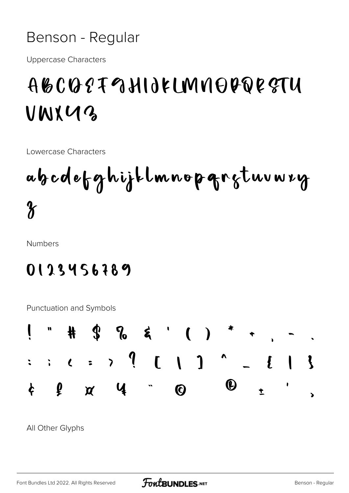#### Benson - Regular

**Uppercase Characters** 

## ABCQEFQHIJKLMNOVDESTU VWXUZ

Lowercase Characters

abcdefghijklmnopgretuvwzg  $\boldsymbol{\gamma}$ 

**Numbers** 

### 0123456789

Punctuation and Symbols



All Other Glyphs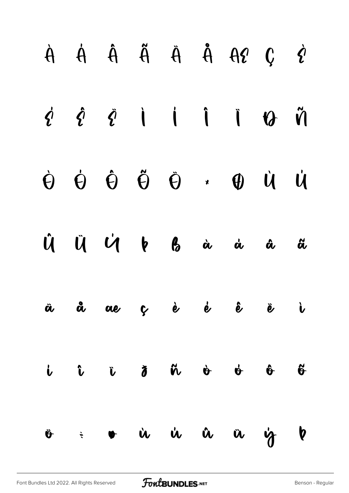|  |  |  | $\dot{A}$ $\dot{A}$ $\ddot{A}$ $\ddot{A}$ $\ddot{A}$ $\dot{A}$ $\dot{A}$ $\dot{C}$ $\dot{C}$                                                              |  |
|--|--|--|-----------------------------------------------------------------------------------------------------------------------------------------------------------|--|
|  |  |  | $\begin{array}{ccccccccccccc}\n\dot{z} & \hat{z} & \hat{z} & \dot{z} & \dot{z} & \dot{z} & \dot{z} & \dot{z} & \dot{z}\n\end{array}$                      |  |
|  |  |  | $\dot{\Theta} \quad \dot{\Theta} \quad \dot{\Theta} \quad \ddot{\Theta} \quad \ddot{\Theta} \quad \cdot \quad \Phi \quad \dot{\Theta} \quad \dot{\theta}$ |  |
|  |  |  | UNU VOBà à à â ã                                                                                                                                          |  |
|  |  |  | ä å ae ç è é ê ë i                                                                                                                                        |  |
|  |  |  | i î î ð ñ ò ó ô <del>ő</del>                                                                                                                              |  |
|  |  |  | $\ddot{\sigma}$ : $\bullet$ in in in in $\dot{\gamma}$ b                                                                                                  |  |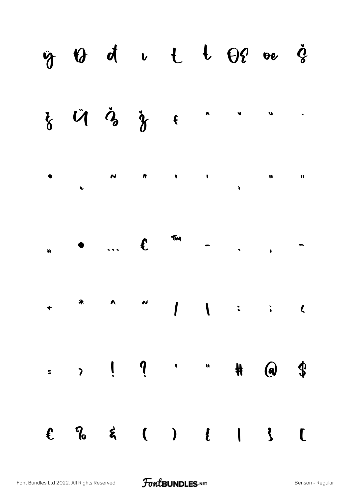